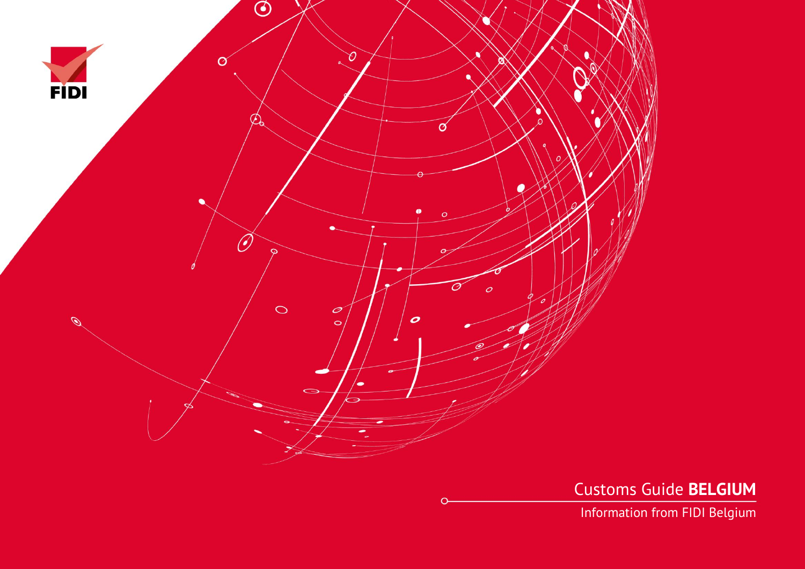

Customs Guide **BELGIUM**

Information from FIDI Belgium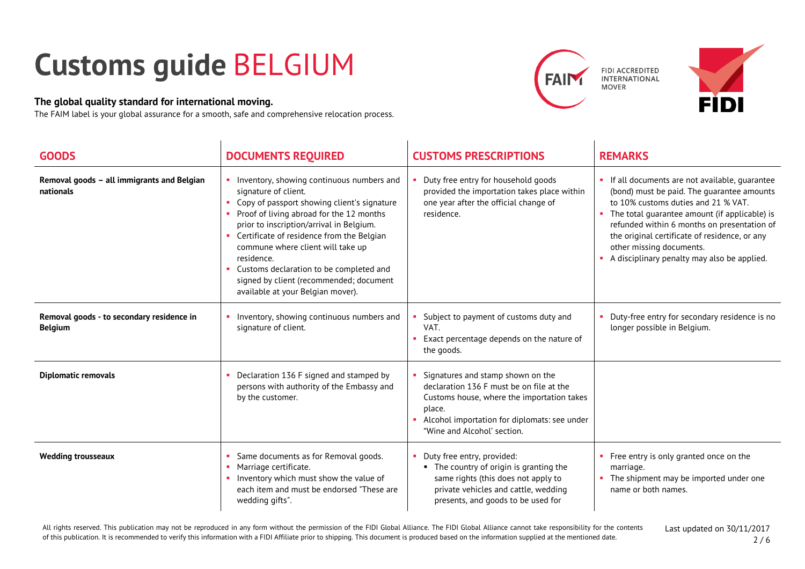## **Customs guide** BELGIUM

## **The global quality standard for international moving.**

The FAIM label is your global assurance for a smooth, safe and comprehensive relocation process.





| <b>GOODS</b>                                                | <b>DOCUMENTS REQUIRED</b>                                                                                                                                                                                                                                                                                                                                                                                                           | <b>CUSTOMS PRESCRIPTIONS</b>                                                                                                                                                                                         | <b>REMARKS</b>                                                                                                                                                                                                                                                                                                                                                     |
|-------------------------------------------------------------|-------------------------------------------------------------------------------------------------------------------------------------------------------------------------------------------------------------------------------------------------------------------------------------------------------------------------------------------------------------------------------------------------------------------------------------|----------------------------------------------------------------------------------------------------------------------------------------------------------------------------------------------------------------------|--------------------------------------------------------------------------------------------------------------------------------------------------------------------------------------------------------------------------------------------------------------------------------------------------------------------------------------------------------------------|
| Removal goods - all immigrants and Belgian<br>nationals     | Inventory, showing continuous numbers and<br>signature of client.<br>Copy of passport showing client's signature<br>Proof of living abroad for the 12 months<br>prior to inscription/arrival in Belgium.<br>Certificate of residence from the Belgian<br>commune where client will take up<br>residence.<br>Customs declaration to be completed and<br>signed by client (recommended; document<br>available at your Belgian mover). | Duty free entry for household goods<br>provided the importation takes place within<br>one year after the official change of<br>residence.                                                                            | • If all documents are not available, quarantee<br>(bond) must be paid. The guarantee amounts<br>to 10% customs duties and 21 % VAT.<br>• The total quarantee amount (if applicable) is<br>refunded within 6 months on presentation of<br>the original certificate of residence, or any<br>other missing documents.<br>A disciplinary penalty may also be applied. |
| Removal goods - to secondary residence in<br><b>Belgium</b> | Inventory, showing continuous numbers and<br>signature of client.                                                                                                                                                                                                                                                                                                                                                                   | Subject to payment of customs duty and<br>VAT.<br>Exact percentage depends on the nature of<br>the goods.                                                                                                            | Duty-free entry for secondary residence is no<br>longer possible in Belgium.                                                                                                                                                                                                                                                                                       |
| <b>Diplomatic removals</b>                                  | Declaration 136 F signed and stamped by<br>persons with authority of the Embassy and<br>by the customer.                                                                                                                                                                                                                                                                                                                            | Signatures and stamp shown on the<br>declaration 136 F must be on file at the<br>Customs house, where the importation takes<br>place.<br>Alcohol importation for diplomats: see under<br>"Wine and Alcohol' section. |                                                                                                                                                                                                                                                                                                                                                                    |
| <b>Wedding trousseaux</b>                                   | Same documents as for Removal goods.<br>Marriage certificate.<br>$\mathbf{r}$<br>Inventory which must show the value of<br><b>COL</b><br>each item and must be endorsed "These are<br>wedding gifts".                                                                                                                                                                                                                               | Duty free entry, provided:<br>• The country of origin is granting the<br>same rights (this does not apply to<br>private vehicles and cattle, wedding<br>presents, and goods to be used for                           | • Free entry is only granted once on the<br>marriage.<br>• The shipment may be imported under one<br>name or both names.                                                                                                                                                                                                                                           |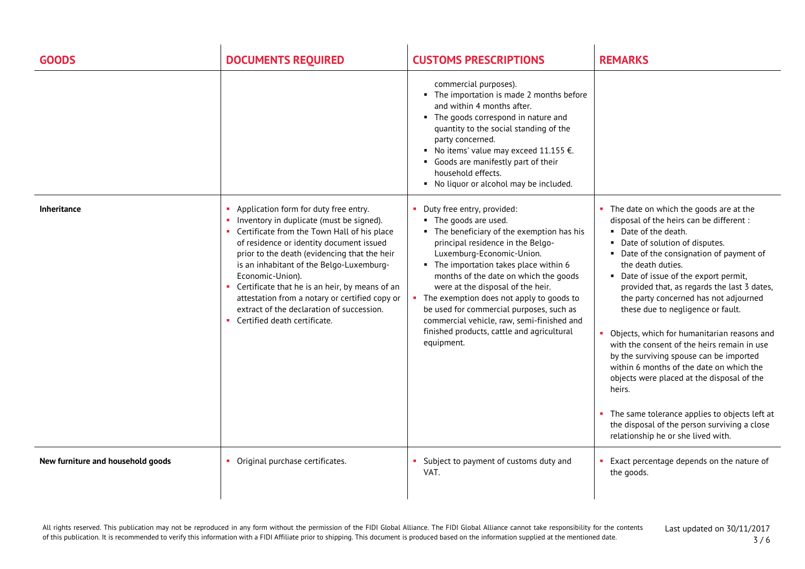| <b>GOODS</b>                      | <b>DOCUMENTS REQUIRED</b>                                                                                                                                                                                                                                                                                                                                                                                                                                                       | <b>CUSTOMS PRESCRIPTIONS</b>                                                                                                                                                                                                                                                                                                                                                                                                                                                                  | <b>REMARKS</b>                                                                                                                                                                                                                                                                                                                                                                                                                                                                                                                                                                                                                                                                                                                                                           |
|-----------------------------------|---------------------------------------------------------------------------------------------------------------------------------------------------------------------------------------------------------------------------------------------------------------------------------------------------------------------------------------------------------------------------------------------------------------------------------------------------------------------------------|-----------------------------------------------------------------------------------------------------------------------------------------------------------------------------------------------------------------------------------------------------------------------------------------------------------------------------------------------------------------------------------------------------------------------------------------------------------------------------------------------|--------------------------------------------------------------------------------------------------------------------------------------------------------------------------------------------------------------------------------------------------------------------------------------------------------------------------------------------------------------------------------------------------------------------------------------------------------------------------------------------------------------------------------------------------------------------------------------------------------------------------------------------------------------------------------------------------------------------------------------------------------------------------|
|                                   |                                                                                                                                                                                                                                                                                                                                                                                                                                                                                 | commercial purposes).<br>• The importation is made 2 months before<br>and within 4 months after.<br>• The goods correspond in nature and<br>quantity to the social standing of the<br>party concerned.<br>No items' value may exceed $11.155 \in$ .<br>• Goods are manifestly part of their<br>household effects.<br>• No liquor or alcohol may be included.                                                                                                                                  |                                                                                                                                                                                                                                                                                                                                                                                                                                                                                                                                                                                                                                                                                                                                                                          |
| Inheritance                       | Application form for duty free entry.<br>Inventory in duplicate (must be signed).<br>Certificate from the Town Hall of his place<br>of residence or identity document issued<br>prior to the death (evidencing that the heir<br>is an inhabitant of the Belgo-Luxemburg-<br>Economic-Union).<br>• Certificate that he is an heir, by means of an<br>attestation from a notary or certified copy or<br>extract of the declaration of succession.<br>Certified death certificate. | Duty free entry, provided:<br>• The goods are used.<br>• The beneficiary of the exemption has his<br>principal residence in the Belgo-<br>Luxemburg-Economic-Union.<br>• The importation takes place within 6<br>months of the date on which the goods<br>were at the disposal of the heir.<br>The exemption does not apply to goods to<br>be used for commercial purposes, such as<br>commercial vehicle, raw, semi-finished and<br>finished products, cattle and agricultural<br>equipment. | • The date on which the goods are at the<br>disposal of the heirs can be different :<br>• Date of the death.<br>Date of solution of disputes.<br>• Date of the consignation of payment of<br>the death duties.<br>• Date of issue of the export permit,<br>provided that, as regards the last 3 dates,<br>the party concerned has not adjourned<br>these due to negligence or fault.<br>Objects, which for humanitarian reasons and<br>with the consent of the heirs remain in use<br>by the surviving spouse can be imported<br>within 6 months of the date on which the<br>objects were placed at the disposal of the<br>heirs.<br>The same tolerance applies to objects left at<br>the disposal of the person surviving a close<br>relationship he or she lived with. |
| New furniture and household goods | • Original purchase certificates.                                                                                                                                                                                                                                                                                                                                                                                                                                               | Subject to payment of customs duty and<br>VAT.                                                                                                                                                                                                                                                                                                                                                                                                                                                | Exact percentage depends on the nature of<br>the goods.                                                                                                                                                                                                                                                                                                                                                                                                                                                                                                                                                                                                                                                                                                                  |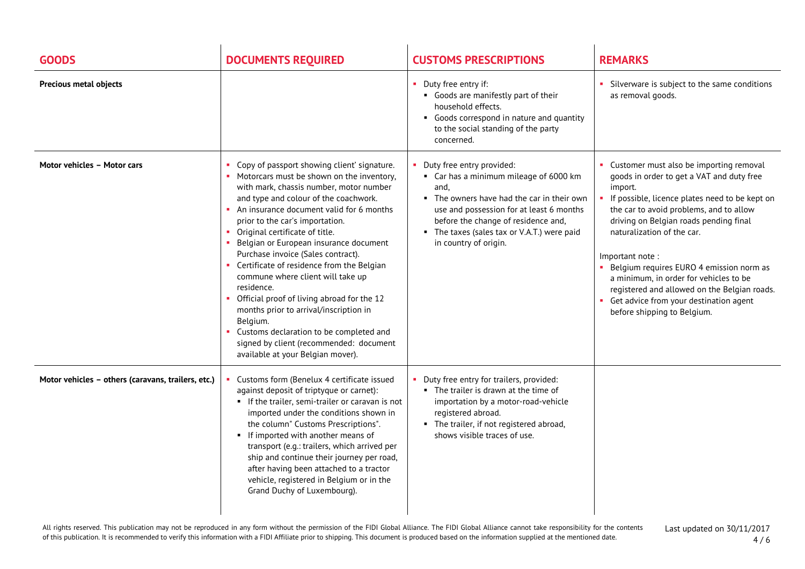| <b>GOODS</b>                                       | <b>DOCUMENTS REQUIRED</b>                                                                                                                                                                                                                                                                                                                                                                                                                                                                                                                                                                                                                                                                                                | <b>CUSTOMS PRESCRIPTIONS</b>                                                                                                                                                                                                                                                         | <b>REMARKS</b>                                                                                                                                                                                                                                                                                                                                                                                                                                                                                         |
|----------------------------------------------------|--------------------------------------------------------------------------------------------------------------------------------------------------------------------------------------------------------------------------------------------------------------------------------------------------------------------------------------------------------------------------------------------------------------------------------------------------------------------------------------------------------------------------------------------------------------------------------------------------------------------------------------------------------------------------------------------------------------------------|--------------------------------------------------------------------------------------------------------------------------------------------------------------------------------------------------------------------------------------------------------------------------------------|--------------------------------------------------------------------------------------------------------------------------------------------------------------------------------------------------------------------------------------------------------------------------------------------------------------------------------------------------------------------------------------------------------------------------------------------------------------------------------------------------------|
| <b>Precious metal objects</b>                      |                                                                                                                                                                                                                                                                                                                                                                                                                                                                                                                                                                                                                                                                                                                          | • Duty free entry if:<br>• Goods are manifestly part of their<br>household effects.<br>• Goods correspond in nature and quantity<br>to the social standing of the party<br>concerned.                                                                                                | Silverware is subject to the same conditions<br>as removal goods.                                                                                                                                                                                                                                                                                                                                                                                                                                      |
| Motor vehicles - Motor cars                        | Copy of passport showing client' signature.<br>• Motorcars must be shown on the inventory,<br>with mark, chassis number, motor number<br>and type and colour of the coachwork.<br>• An insurance document valid for 6 months<br>prior to the car's importation.<br>• Original certificate of title.<br>Belgian or European insurance document<br>Purchase invoice (Sales contract).<br>• Certificate of residence from the Belgian<br>commune where client will take up<br>residence.<br>• Official proof of living abroad for the 12<br>months prior to arrival/inscription in<br>Belgium.<br>• Customs declaration to be completed and<br>signed by client (recommended: document<br>available at your Belgian mover). | Duty free entry provided:<br>• Car has a minimum mileage of 6000 km<br>and,<br>• The owners have had the car in their own<br>use and possession for at least 6 months<br>before the change of residence and,<br>• The taxes (sales tax or V.A.T.) were paid<br>in country of origin. | Customer must also be importing removal<br>goods in order to get a VAT and duty free<br>import.<br>If possible, licence plates need to be kept on<br>the car to avoid problems, and to allow<br>driving on Belgian roads pending final<br>naturalization of the car.<br>Important note:<br>Belgium requires EURO 4 emission norm as<br>a minimum, in order for vehicles to be<br>registered and allowed on the Belgian roads.<br>Get advice from your destination agent<br>before shipping to Belgium. |
| Motor vehicles - others (caravans, trailers, etc.) | Customs form (Benelux 4 certificate issued<br>against deposit of triptyque or carnet):<br>If the trailer, semi-trailer or caravan is not<br>imported under the conditions shown in<br>the column" Customs Prescriptions".<br>• If imported with another means of<br>transport (e.g.: trailers, which arrived per<br>ship and continue their journey per road,<br>after having been attached to a tractor<br>vehicle, registered in Belgium or in the<br>Grand Duchy of Luxembourg).                                                                                                                                                                                                                                      | • Duty free entry for trailers, provided:<br>• The trailer is drawn at the time of<br>importation by a motor-road-vehicle<br>registered abroad.<br>• The trailer, if not registered abroad,<br>shows visible traces of use.                                                          |                                                                                                                                                                                                                                                                                                                                                                                                                                                                                                        |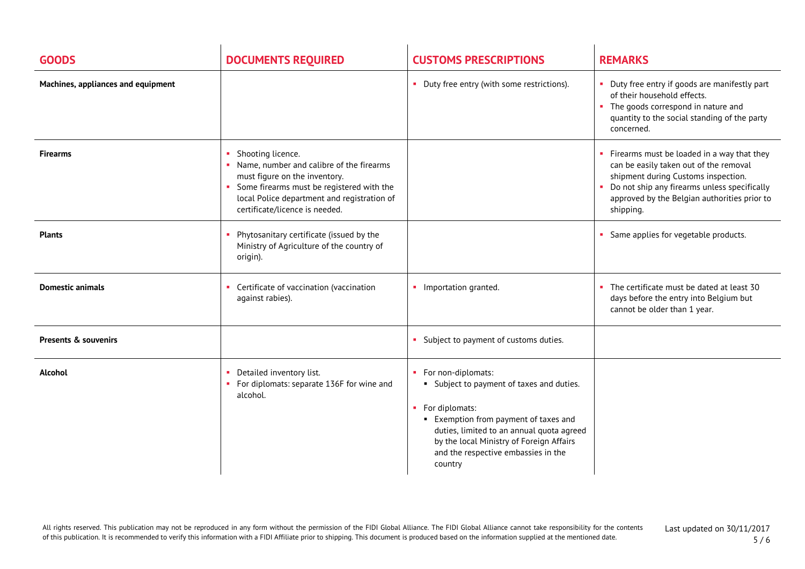| <b>GOODS</b>                       | <b>DOCUMENTS REQUIRED</b>                                                                                                                                                                                                      | <b>CUSTOMS PRESCRIPTIONS</b>                                                                                                                                                                                                                                            | <b>REMARKS</b>                                                                                                                                                                                                                             |
|------------------------------------|--------------------------------------------------------------------------------------------------------------------------------------------------------------------------------------------------------------------------------|-------------------------------------------------------------------------------------------------------------------------------------------------------------------------------------------------------------------------------------------------------------------------|--------------------------------------------------------------------------------------------------------------------------------------------------------------------------------------------------------------------------------------------|
| Machines, appliances and equipment |                                                                                                                                                                                                                                | • Duty free entry (with some restrictions).                                                                                                                                                                                                                             | • Duty free entry if goods are manifestly part<br>of their household effects.<br>The goods correspond in nature and<br>$\mathbf{H}$ .<br>quantity to the social standing of the party<br>concerned.                                        |
| <b>Firearms</b>                    | Shooting licence.<br>Name, number and calibre of the firearms<br>must figure on the inventory.<br>• Some firearms must be registered with the<br>local Police department and registration of<br>certificate/licence is needed. |                                                                                                                                                                                                                                                                         | • Firearms must be loaded in a way that they<br>can be easily taken out of the removal<br>shipment during Customs inspection.<br>Do not ship any firearms unless specifically<br>approved by the Belgian authorities prior to<br>shipping. |
| <b>Plants</b>                      | Phytosanitary certificate (issued by the<br>Ministry of Agriculture of the country of<br>origin).                                                                                                                              |                                                                                                                                                                                                                                                                         | Same applies for vegetable products.<br>a.                                                                                                                                                                                                 |
| <b>Domestic animals</b>            | Certificate of vaccination (vaccination<br>a.<br>against rabies).                                                                                                                                                              | • Importation granted.                                                                                                                                                                                                                                                  | The certificate must be dated at least 30<br>×.<br>days before the entry into Belgium but<br>cannot be older than 1 year.                                                                                                                  |
| <b>Presents &amp; souvenirs</b>    |                                                                                                                                                                                                                                | Subject to payment of customs duties.                                                                                                                                                                                                                                   |                                                                                                                                                                                                                                            |
| Alcohol                            | Detailed inventory list.<br>For diplomats: separate 136F for wine and<br>alcohol.                                                                                                                                              | For non-diplomats:<br>• Subject to payment of taxes and duties.<br>• For diplomats:<br>• Exemption from payment of taxes and<br>duties, limited to an annual quota agreed<br>by the local Ministry of Foreign Affairs<br>and the respective embassies in the<br>country |                                                                                                                                                                                                                                            |